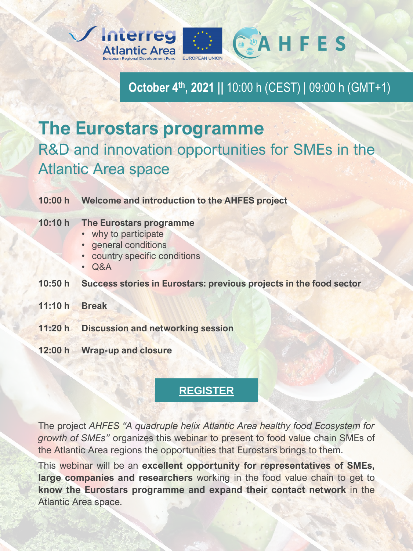

**October 4th, 2021 ||** 10:00 h (CEST) | 09:00 h (GMT+1)

## **The Eurostars programme** R&D and innovation opportunities for SMEs in the Atlantic Area space

|        | 10:00 h Welcome and introduction to the AHFES project                                                           |
|--------|-----------------------------------------------------------------------------------------------------------------|
| 10:10h | The Eurostars programme<br>• why to participate<br>· general conditions<br>• country specific conditions<br>Q&A |
| 10:50h | Success stories in Eurostars: previous projects in the food sector                                              |
| 11:10h | <b>Break</b>                                                                                                    |
|        | 11:20 h Discussion and networking session                                                                       |
|        | 12:00 h Wrap-up and closure                                                                                     |

## **[REGISTER](https://docs.google.com/forms/d/e/1FAIpQLSdFOBmMnahb01pM1kk0gs2skF9bCtYZANLxIIW3pBQbfX8OCw/viewform?usp=sf_link)**

The project *AHFES "A quadruple helix Atlantic Area healthy food Ecosystem for growth of SMEs"* organizes this webinar to present to food value chain SMEs of the Atlantic Area regions the opportunities that Eurostars brings to them.

This webinar will be an **excellent opportunity for representatives of SMEs, large companies and researchers** working in the food value chain to get to **know the Eurostars programme and expand their contact network** in the Atlantic Area space.